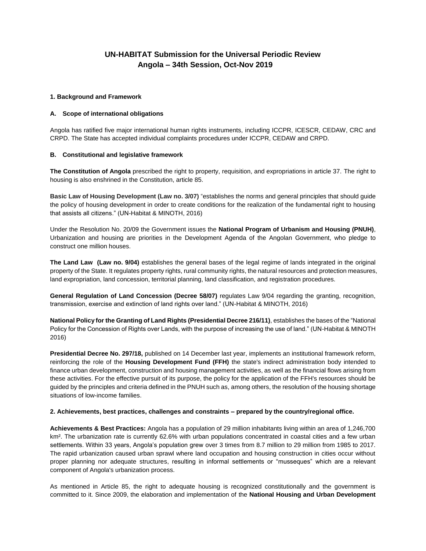# **UN-HABITAT Submission for the Universal Periodic Review Angola – 34th Session, Oct-Nov 2019**

### **1. Background and Framework**

## **A. Scope of international obligations**

Angola has ratified five major international human rights instruments, including ICCPR, ICESCR, CEDAW, CRC and CRPD. The State has accepted individual complaints procedures under ICCPR, CEDAW and CRPD.

## **B. Constitutional and legislative framework**

**The Constitution of Angola** prescribed the right to property, requisition, and expropriations in article 37. The right to housing is also enshrined in the Constitution, article 85.

**Basic Law of Housing Development (Law no. 3/07)** "establishes the norms and general principles that should guide the policy of housing development in order to create conditions for the realization of the fundamental right to housing that assists all citizens." (UN-Habitat & MINOTH, 2016)

Under the Resolution No. 20/09 the Government issues the **National Program of Urbanism and Housing (PNUH)**, Urbanization and housing are priorities in the Development Agenda of the Angolan Government, who pledge to construct one million houses.

**The Land Law (Law no. 9/04)** establishes the general bases of the legal regime of lands integrated in the original property of the State. It regulates property rights, rural community rights, the natural resources and protection measures, land expropriation, land concession, territorial planning, land classification, and registration procedures.

**General Regulation of Land Concession (Decree 58/07)** regulates Law 9/04 regarding the granting, recognition, transmission, exercise and extinction of land rights over land." (UN-Habitat & MINOTH, 2016)

**National Policy for the Granting of Land Rights (Presidential Decree 216/11)**, establishes the bases of the "National Policy for the Concession of Rights over Lands, with the purpose of increasing the use of land." (UN-Habitat & MINOTH 2016)

**Presidential Decree No. 297/18,** published on 14 December last year, implements an institutional framework reform, reinforcing the role of the **Housing Development Fund (FFH)** the state's indirect administration body intended to finance urban development, construction and housing management activities, as well as the financial flows arising from these activities. For the effective pursuit of its purpose, the policy for the application of the FFH's resources should be guided by the principles and criteria defined in the PNUH such as, among others, the resolution of the housing shortage situations of low-income families.

### **2. Achievements, best practices, challenges and constraints – prepared by the country/regional office.**

**Achievements & Best Practices:** Angola has a population of 29 million inhabitants living within an area of 1,246,700 km<sup>2</sup>. The urbanization rate is currently 62.6% with urban populations concentrated in coastal cities and a few urban settlements. Within 33 years, Angola's population grew over 3 times from 8.7 million to 29 million from 1985 to 2017. The rapid urbanization caused urban sprawl where land occupation and housing construction in cities occur without proper planning nor adequate structures, resulting in informal settlements or "musseques" which are a relevant component of Angola's urbanization process.

As mentioned in Article 85, the right to adequate housing is recognized constitutionally and the government is committed to it. Since 2009, the elaboration and implementation of the **National Housing and Urban Development**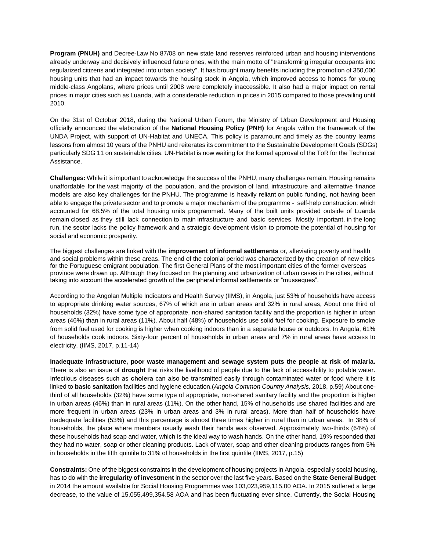**Program (PNUH)** and Decree-Law No 87/08 on new state land reserves reinforced urban and housing interventions already underway and decisively influenced future ones, with the main motto of "transforming irregular occupants into regularized citizens and integrated into urban society". It has brought many benefits including the promotion of 350,000 housing units that had an impact towards the housing stock in Angola, which improved access to homes for young middle-class Angolans, where prices until 2008 were completely inaccessible. It also had a major impact on rental prices in major cities such as Luanda, with a considerable reduction in prices in 2015 compared to those prevailing until 2010.

On the 31st of October 2018, during the National Urban Forum, the Ministry of Urban Development and Housing officially announced the elaboration of the **National Housing Policy (PNH)** for Angola within the framework of the UNDA Project, with support of UN-Habitat and UNECA. This policy is paramount and timely as the country learns lessons from almost 10 years of the PNHU and reiterates its commitment to the Sustainable Development Goals (SDGs) particularly SDG 11 on sustainable cities. UN-Habitat is now waiting for the formal approval of the ToR for the Technical Assistance.

**Challenges:** While it is important to acknowledge the success of the PNHU, many challenges remain. Housing remains unaffordable for the vast majority of the population, and the provision of land, infrastructure and alternative finance models are also key challenges for the PNHU. The programme is heavily reliant on public funding, not having been able to engage the private sector and to promote a major mechanism of the programme - self-help construction: which accounted for 68.5% of the total housing units programmed. Many of the built units provided outside of Luanda remain closed as they still lack connection to main infrastructure and basic services. Mostly important, in the long run, the sector lacks the policy framework and a strategic development vision to promote the potential of housing for social and economic prosperity.

The biggest challenges are linked with the **improvement of informal settlements** or, alleviating poverty and health and social problems within these areas. The end of the colonial period was characterized by the creation of new cities for the Portuguese emigrant population. The first General Plans of the most important cities of the former overseas province were drawn up. Although they focused on the planning and urbanization of urban cases in the cities, without taking into account the accelerated growth of the peripheral informal settlements or "musseques".

According to the Angolan Multiple Indicators and Health Survey (IIMS), in Angola, just 53% of households have access to appropriate drinking water sources, 67% of which are in urban areas and 32% in rural areas, About one third of households (32%) have some type of appropriate, non-shared sanitation facility and the proportion is higher in urban areas (46%) than in rural areas (11%). About half (48%) of households use solid fuel for cooking. Exposure to smoke from solid fuel used for cooking is higher when cooking indoors than in a separate house or outdoors. In Angola, 61% of households cook indoors. Sixty-four percent of households in urban areas and 7% in rural areas have access to electricity. (IIMS, 2017, p.11-14)

**Inadequate infrastructure, poor waste management and sewage system puts the people at risk of malaria.** There is also an issue of **drought** that risks the livelihood of people due to the lack of accessibility to potable water. Infectious diseases such as **cholera** can also be transmitted easily through contaminated water or food where it is linked to **basic sanitation** facilities and hygiene education.(*Angola Common Country Analysis,* 2018, p.59) About onethird of all households (32%) have some type of appropriate, non-shared sanitary facility and the proportion is higher in urban areas (46%) than in rural areas (11%). On the other hand, 15% of households use shared facilities and are more frequent in urban areas (23% in urban areas and 3% in rural areas). More than half of households have inadequate facilities (53%) and this percentage is almost three times higher in rural than in urban areas. In 38% of households, the place where members usually wash their hands was observed. Approximately two-thirds (64%) of these households had soap and water, which is the ideal way to wash hands. On the other hand, 19% responded that they had no water, soap or other cleaning products. Lack of water, soap and other cleaning products ranges from 5% in households in the fifth quintile to 31% of households in the first quintile (IIMS, 2017, p.15)

**Constraints:** One of the biggest constraints in the development of housing projects in Angola, especially social housing, has to do with the **irregularity of investment** in the sector over the last five years. Based on the **State General Budget** in 2014 the amount available for Social Housing Programmes was 103,023,959,115.00 AOA. In 2015 suffered a large decrease, to the value of 15,055,499,354.58 AOA and has been fluctuating ever since. Currently, the Social Housing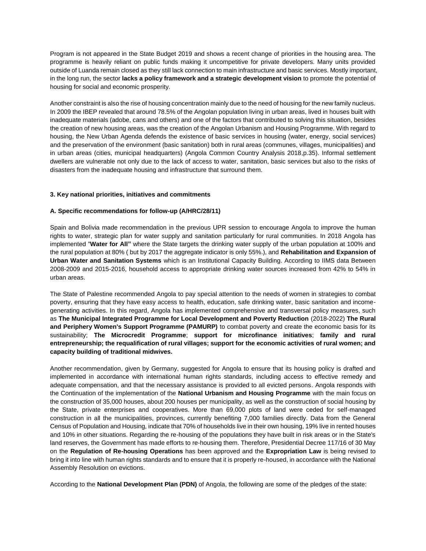Program is not appeared in the State Budget 2019 and shows a recent change of priorities in the housing area. The programme is heavily reliant on public funds making it uncompetitive for private developers. Many units provided outside of Luanda remain closed as they still lack connection to main infrastructure and basic services. Mostly important, in the long run, the sector **lacks a policy framework and a strategic development vision** to promote the potential of housing for social and economic prosperity.

Another constraint is also the rise of housing concentration mainly due to the need of housing for the new family nucleus. In 2009 the IBEP revealed that around 78.5% of the Angolan population living in urban areas, lived in houses built with inadequate materials (adobe, cans and others) and one of the factors that contributed to solving this situation, besides the creation of new housing areas, was the creation of the Angolan Urbanism and Housing Programme. With regard to housing, the New Urban Agenda defends the existence of basic services in housing (water, energy, social services) and the preservation of the environment (basic sanitation) both in rural areas (communes, villages, municipalities) and in urban areas (cities, municipal headquarters) (Angola Common Country Analysis 2018,p.35). Informal settlement dwellers are vulnerable not only due to the lack of access to water, sanitation, basic services but also to the risks of disasters from the inadequate housing and infrastructure that surround them.

### **3. Key national priorities, initiatives and commitments**

### **A. Specific recommendations for follow-up (A/HRC/28/11)**

Spain and Bolivia made recommendation in the previous UPR session to encourage Angola to improve the human rights to water, strategic plan for water supply and sanitation particularly for rural communities. In 2018 Angola has implemented "**Water for All"** where the State targets the drinking water supply of the urban population at 100% and the rural population at 80% ( but by 2017 the aggregate indicator is only 55%.), and **Rehabilitation and Expansion of Urban Water and Sanitation Systems** which is an Institutional Capacity Building. According to IIMS data Between 2008-2009 and 2015-2016, household access to appropriate drinking water sources increased from 42% to 54% in urban areas.

The State of Palestine recommended Angola to pay special attention to the needs of women in strategies to combat poverty, ensuring that they have easy access to health, education, safe drinking water, basic sanitation and incomegenerating activities. In this regard, Angola has implemented comprehensive and transversal policy measures, such as **The Municipal Integrated Programme for Local Development and Poverty Reduction** (2018-2022) **The Rural and Periphery Women's Support Programme (PAMURP)** to combat poverty and create the economic basis for its sustainability; **The Microcredit Programme**; **support for microfinance initiatives**; **family and rural entrepreneurship; the requalification of rural villages; support for the economic activities of rural women; and capacity building of traditional midwives.**

Another recommendation, given by Germany, suggested for Angola to ensure that its housing policy is drafted and implemented in accordance with international human rights standards, including access to effective remedy and adequate compensation, and that the necessary assistance is provided to all evicted persons. Angola responds with the Continuation of the implementation of the **National Urbanism and Housing Programme** with the main focus on the construction of 35,000 houses, about 200 houses per municipality, as well as the construction of social housing by the State, private enterprises and cooperatives. More than 69,000 plots of land were ceded for self-managed construction in all the municipalities, provinces, currently benefiting 7,000 families directly. Data from the General Census of Population and Housing, indicate that 70% of households live in their own housing, 19% live in rented houses and 10% in other situations. Regarding the re-housing of the populations they have built in risk areas or in the State's land reserves, the Government has made efforts to re-housing them. Therefore, Presidential Decree 117/16 of 30 May on the **Regulation of Re-housing Operations** has been approved and the **Expropriation Law** is being revised to bring it into line with human rights standards and to ensure that it is properly re-housed, in accordance with the National Assembly Resolution on evictions.

According to the **National Development Plan (PDN)** of Angola, the following are some of the pledges of the state: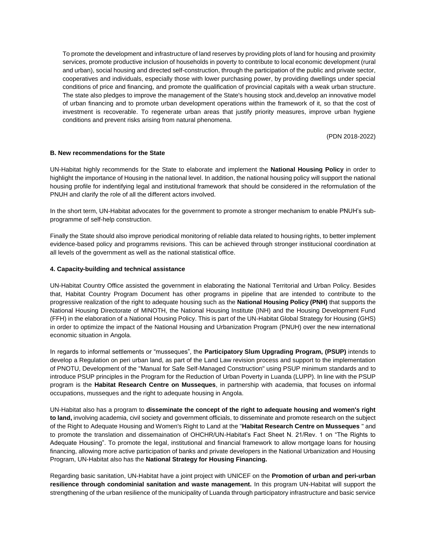To promote the development and infrastructure of land reserves by providing plots of land for housing and proximity services, promote productive inclusion of households in poverty to contribute to local economic development (rural and urban), social housing and directed self-construction, through the participation of the public and private sector, cooperatives and individuals, especially those with lower purchasing power, by providing dwellings under special conditions of price and financing, and promote the qualification of provincial capitals with a weak urban structure. The state also pledges to improve the management of the State's housing stock and,develop an innovative model of urban financing and to promote urban development operations within the framework of it, so that the cost of investment is recoverable. To regenerate urban areas that justify priority measures, improve urban hygiene conditions and prevent risks arising from natural phenomena.

(PDN 2018-2022)

### **B. New recommendations for the State**

UN-Habitat highly recommends for the State to elaborate and implement the **National Housing Policy** in order to highlight the importance of Housing in the national level. In addition, the national housing policy will support the national housing profile for indentifying legal and institutional framework that should be considered in the reformulation of the PNUH and clarify the role of all the different actors involved.

In the short term, UN-Habitat advocates for the government to promote a stronger mechanism to enable PNUH's subprogramme of self-help construction.

Finally the State should also improve periodical monitoring of reliable data related to housing rights, to better implement evidence-based policy and programms revisions. This can be achieved through stronger institucional coordination at all levels of the government as well as the national statistical office.

#### **4. Capacity-building and technical assistance**

UN-Habitat Country Office assisted the government in elaborating the National Territorial and Urban Policy. Besides that, Habitat Country Program Document has other programs in pipeline that are intended to contribute to the progressive realization of the right to adequate housing such as the **National Housing Policy (PNH)** that supports the National Housing Directorate of MINOTH, the National Housing Institute (INH) and the Housing Development Fund (FFH) in the elaboration of a National Housing Policy. This is part of the UN-Habitat Global Strategy for Housing (GHS) in order to optimize the impact of the National Housing and Urbanization Program (PNUH) over the new international economic situation in Angola.

In regards to informal settlements or "musseques", the **Participatory Slum Upgrading Program, (PSUP)** intends to develop a Regulation on peri urban land, as part of the Land Law revision process and support to the implementation of PNOTU, Development of the "Manual for Safe Self-Managed Construction" using PSUP minimum standards and to introduce PSUP principles in the Program for the Reduction of Urban Poverty in Luanda (LUPP). In line with the PSUP program is the **Habitat Research Centre on Musseques**, in partnership with academia, that focuses on informal occupations, musseques and the right to adequate housing in Angola.

UN-Habitat also has a program to **disseminate the concept of the right to adequate housing and women's right to land,** involving academia, civil society and government officials, to disseminate and promote research on the subject of the Right to Adequate Housing and Women's Right to Land at the "**Habitat Research Centre on Musseques** " and to promote the translation and dissemaination of OHCHR/UN-Habitat's Fact Sheet N. 21/Rev. 1 on "The Rights to Adequate Housing". To promote the legal, institutional and financial framework to allow mortgage loans for housing financing, allowing more active participation of banks and private developers in the National Urbanization and Housing Program, UN-Habitat also has the **National Strategy for Housing Financing.**

Regarding basic sanitation, UN-Habitat have a joint project with UNICEF on the **Promotion of urban and peri-urban resilience through condominial sanitation and waste management.** In this program UN-Habitat will support the strengthening of the urban resilience of the municipality of Luanda through participatory infrastructure and basic service